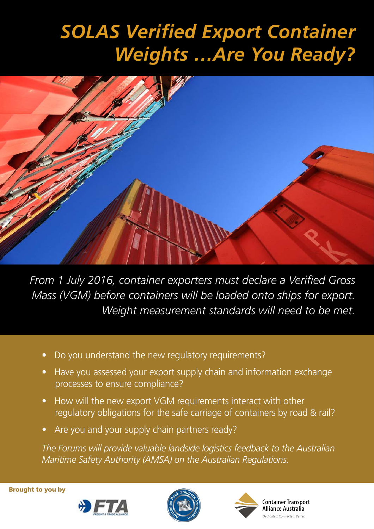# *SOLAS Verified Export Container Weights …Are You Ready?*



*From 1 July 2016, container exporters must declare a Verified Gross Mass (VGM) before containers will be loaded onto ships for export. Weight measurement standards will need to be met.*

- Do you understand the new regulatory requirements?
- Have you assessed your export supply chain and information exchange processes to ensure compliance?
- How will the new export VGM requirements interact with other regulatory obligations for the safe carriage of containers by road & rail?
- Are you and your supply chain partners ready?

*The Forums will provide valuable landside logistics feedback to the Australian Maritime Safety Authority (AMSA) on the Australian Regulations.*